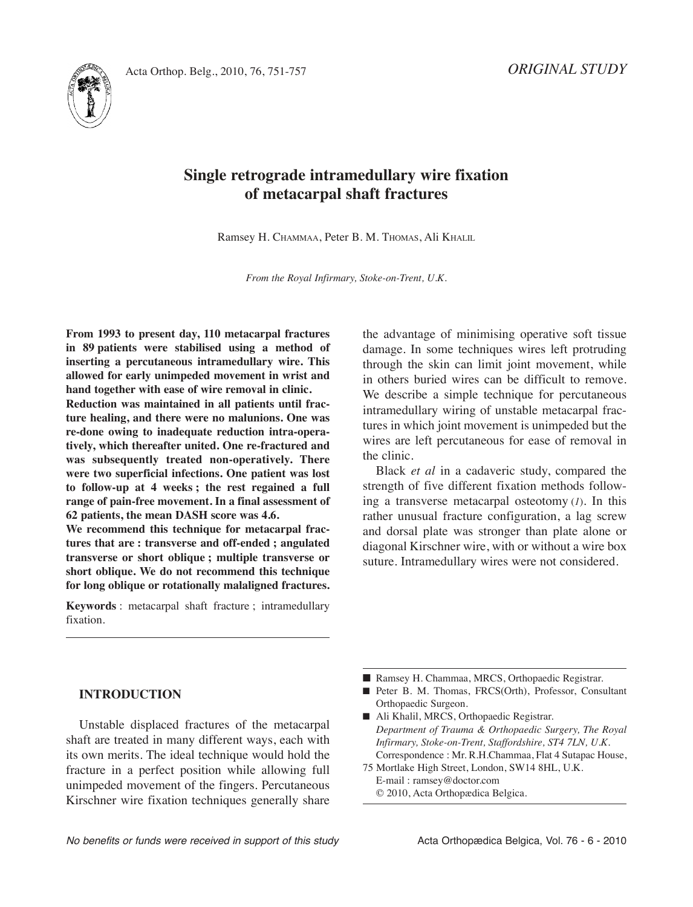

# **Single retrograde intramedullary wire fixation of metacarpal shaft fractures**

Ramsey H. CHAMMAA, Peter B. M. THOMAS, Ali KHALIL

*From the Royal Infirmary, Stoke-on-Trent, U.K.*

**From 1993 to present day, 110 metacarpal fractures in 89 patients were stabilised using a method of inserting a percutaneous intramedullary wire. This allowed for early unimpeded movement in wrist and hand together with ease of wire removal in clinic.**

**Reduction was maintained in all patients until fracture healing, and there were no malunions. One was re-done owing to inadequate reduction intra-operatively, which thereafter united. One re-fractured and was subsequently treated non-operatively. There were two superficial infections. One patient was lost to follow-up at 4 weeks ; the rest regained a full range of pain-free movement. In a final assessment of 62 patients, the mean DASH score was 4.6.**

**We recommend this technique for metacarpal fractures that are : transverse and off-ended ; angulated transverse or short oblique ; multiple transverse or short oblique. We do not recommend this technique for long oblique or rotationally malaligned fractures.**

**Keywords** : metacarpal shaft fracture ; intramedullary fixation.

the advantage of minimising operative soft tissue damage. In some techniques wires left protruding through the skin can limit joint movement, while in others buried wires can be difficult to remove. We describe a simple technique for percutaneous intramedullary wiring of unstable metacarpal fractures in which joint movement is unimpeded but the wires are left percutaneous for ease of removal in the clinic.

Black *et al* in a cadaveric study, compared the strength of five different fixation methods following a transverse metacarpal osteotomy  $(1)$ . In this rather unusual fracture configuration, a lag screw and dorsal plate was stronger than plate alone or diagonal Kirschner wire, with or without a wire box suture. Intramedullary wires were not considered.

### **INTRODUCTION**

Unstable displaced fractures of the metacarpal shaft are treated in many different ways, each with its own merits. The ideal technique would hold the fracture in a perfect position while allowing full unimpeded movement of the fingers. Percutaneous Kirschner wire fixation techniques generally share

- Ramsey H. Chammaa, MRCS, Orthopaedic Registrar.
- Peter B. M. Thomas, FRCS(Orth), Professor, Consultant Orthopaedic Surgeon.
- Ali Khalil, MRCS, Orthopaedic Registrar. *Department of Trauma & Orthopaedic Surgery, The Royal Infirmary, Stoke-on-Trent, Staffordshire, ST4 7LN, U.K.* Correspondence : Mr. R.H.Chammaa, Flat 4 Sutapac House,
- 75 Mortlake High Street, London, SW14 8HL, U.K. E-mail : ramsey@doctor.com
	- © 2010, Acta Orthopædica Belgica.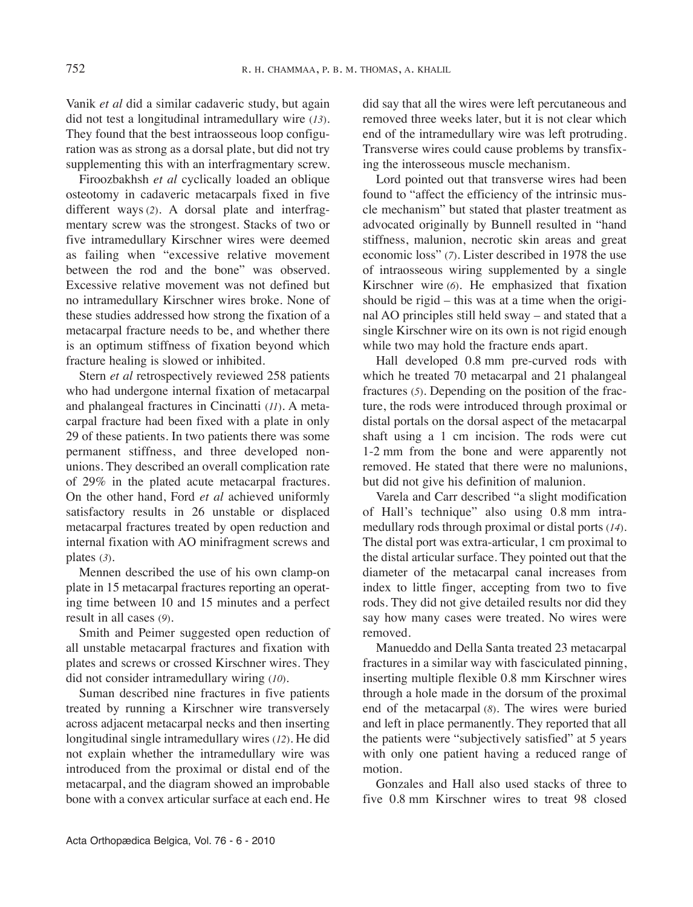Vanik *et al* did a similar cadaveric study, but again did not test a longitudinal intramedullary wire (*13*)*.* They found that the best intraosseous loop configuration was as strong as a dorsal plate, but did not try supplementing this with an interfragmentary screw.

Firoozbakhsh *et al* cyclically loaded an oblique osteotomy in cadaveric metacarpals fixed in five different ways (*2*)*.* A dorsal plate and interfragmentary screw was the strongest. Stacks of two or five intramedullary Kirschner wires were deemed as failing when "excessive relative movement between the rod and the bone" was observed. Excessive relative movement was not defined but no intramedullary Kirschner wires broke. None of these studies addressed how strong the fixation of a metacarpal fracture needs to be, and whether there is an optimum stiffness of fixation beyond which fracture healing is slowed or inhibited.

Stern *et al* retrospectively reviewed 258 patients who had undergone internal fixation of metacarpal and phalangeal fractures in Cincinatti (*11*)*.* A metacarpal fracture had been fixed with a plate in only 29 of these patients. in two patients there was some permanent stiffness, and three developed nonunions. They described an overall complication rate of 29% in the plated acute metacarpal fractures. On the other hand, Ford *et al* achieved uniformly satisfactory results in 26 unstable or displaced metacarpal fractures treated by open reduction and internal fixation with AO minifragment screws and plates (*3*)*.*

Mennen described the use of his own clamp-on plate in 15 metacarpal fractures reporting an operating time between 10 and 15 minutes and a perfect result in all cases (*9*)*.*

Smith and Peimer suggested open reduction of all unstable metacarpal fractures and fixation with plates and screws or crossed Kirschner wires. They did not consider intramedullary wiring (*10*)*.*

Suman described nine fractures in five patients treated by running a Kirschner wire transversely across adjacent metacarpal necks and then inserting longitudinal single intramedullary wires (*12*). He did not explain whether the intramedullary wire was introduced from the proximal or distal end of the metacarpal, and the diagram showed an improbable bone with a convex articular surface at each end. He

did say that all the wires were left percutaneous and removed three weeks later, but it is not clear which end of the intramedullary wire was left protruding. Transverse wires could cause problems by transfixing the interosseous muscle mechanism.

Lord pointed out that transverse wires had been found to "affect the efficiency of the intrinsic muscle mechanism" but stated that plaster treatment as advocated originally by Bunnell resulted in "hand stiffness, malunion, necrotic skin areas and great economic loss" (*7*). Lister described in 1978 the use of intraosseous wiring supplemented by a single Kirschner wire (*6*). He emphasized that fixation should be rigid – this was at a time when the original AO principles still held sway – and stated that a single Kirschner wire on its own is not rigid enough while two may hold the fracture ends apart.

Hall developed 0.8 mm pre-curved rods with which he treated 70 metacarpal and 21 phalangeal fractures (*5*). Depending on the position of the fracture, the rods were introduced through proximal or distal portals on the dorsal aspect of the metacarpal shaft using a 1 cm incision. The rods were cut 1-2 mm from the bone and were apparently not removed. He stated that there were no malunions, but did not give his definition of malunion.

Varela and Carr described "a slight modification of Hall's technique" also using 0.8 mm intramedullary rods through proximal or distal ports (*14*). The distal port was extra-articular, 1 cm proximal to the distal articular surface. They pointed out that the diameter of the metacarpal canal increases from index to little finger, accepting from two to five rods. They did not give detailed results nor did they say how many cases were treated. No wires were removed.

Manueddo and Della Santa treated 23 metacarpal fractures in a similar way with fasciculated pinning, inserting multiple flexible 0.8 mm Kirschner wires through a hole made in the dorsum of the proximal end of the metacarpal (*8*)*.* The wires were buried and left in place permanently. They reported that all the patients were "subjectively satisfied" at 5 years with only one patient having a reduced range of motion.

Gonzales and Hall also used stacks of three to five 0.8 mm Kirschner wires to treat 98 closed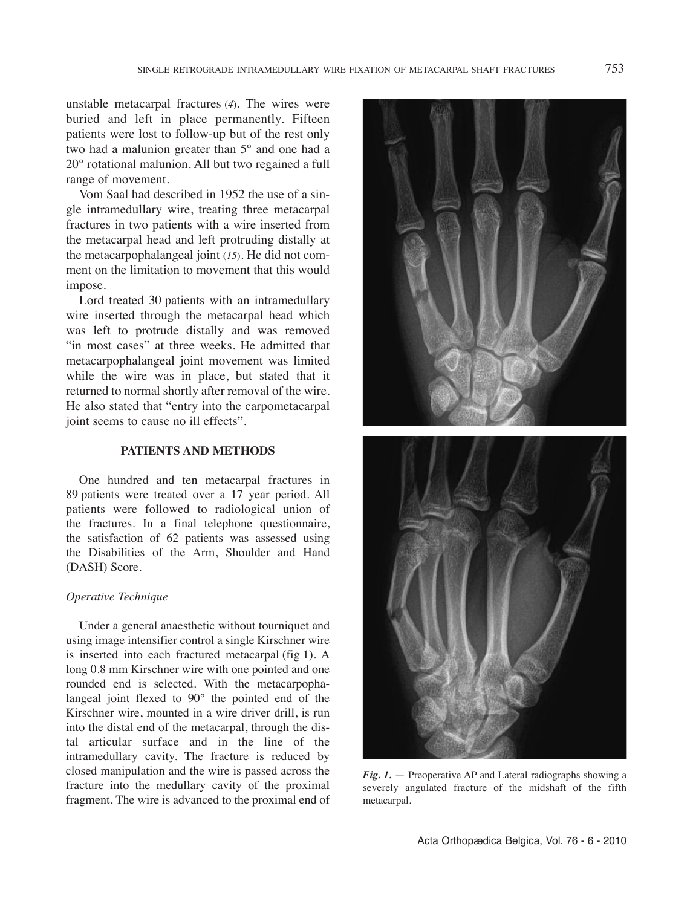unstable metacarpal fractures (*4*)*.* The wires were buried and left in place permanently. Fifteen patients were lost to follow-up but of the rest only two had a malunion greater than 5° and one had a 20° rotational malunion. All but two regained a full range of movement.

Vom Saal had described in 1952 the use of a single intramedullary wire, treating three metacarpal fractures in two patients with a wire inserted from the metacarpal head and left protruding distally at the metacarpophalangeal joint (*15*)*.* He did not comment on the limitation to movement that this would impose.

Lord treated 30 patients with an intramedullary wire inserted through the metacarpal head which was left to protrude distally and was removed "in most cases" at three weeks. He admitted that metacarpophalangeal joint movement was limited while the wire was in place, but stated that it returned to normal shortly after removal of the wire. He also stated that "entry into the carpometacarpal joint seems to cause no ill effects".

#### **PATIENTS AND METHODS**

One hundred and ten metacarpal fractures in 89 patients were treated over a 17 year period. All patients were followed to radiological union of the fractures. in a final telephone questionnaire, the satisfaction of 62 patients was assessed using the Disabilities of the Arm, Shoulder and Hand (DASH) Score.

#### *Operative Technique*

Under a general anaesthetic without tourniquet and using image intensifier control a single Kirschner wire is inserted into each fractured metacarpal (fig 1). A long 0.8 mm Kirschner wire with one pointed and one rounded end is selected. With the metacarpophalangeal joint flexed to 90° the pointed end of the Kirschner wire, mounted in a wire driver drill, is run into the distal end of the metacarpal, through the distal articular surface and in the line of the intramedullary cavity. The fracture is reduced by closed manipulation and the wire is passed across the fracture into the medullary cavity of the proximal fragment. The wire is advanced to the proximal end of



*Fig. 1.* — Preoperative AP and Lateral radiographs showing a severely angulated fracture of the midshaft of the fifth metacarpal.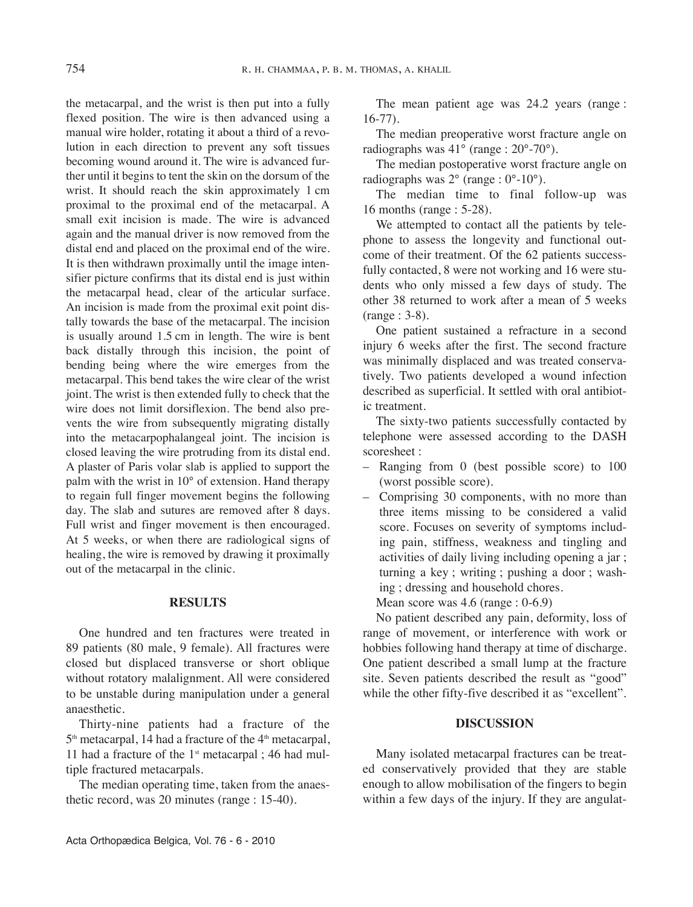the metacarpal, and the wrist is then put into a fully flexed position. The wire is then advanced using a manual wire holder, rotating it about a third of a revolution in each direction to prevent any soft tissues becoming wound around it. The wire is advanced further until it begins to tent the skin on the dorsum of the wrist. It should reach the skin approximately 1 cm proximal to the proximal end of the metacarpal. A small exit incision is made. The wire is advanced again and the manual driver is now removed from the distal end and placed on the proximal end of the wire. It is then withdrawn proximally until the image intensifier picture confirms that its distal end is just within the metacarpal head, clear of the articular surface. An incision is made from the proximal exit point distally towards the base of the metacarpal. The incision is usually around 1.5 cm in length. The wire is bent back distally through this incision, the point of bending being where the wire emerges from the metacarpal. This bend takes the wire clear of the wrist joint. The wrist is then extended fully to check that the wire does not limit dorsiflexion. The bend also prevents the wire from subsequently migrating distally into the metacarpophalangeal joint. The incision is closed leaving the wire protruding from its distal end. A plaster of Paris volar slab is applied to support the palm with the wrist in 10° of extension. Hand therapy to regain full finger movement begins the following day. The slab and sutures are removed after 8 days. Full wrist and finger movement is then encouraged. At 5 weeks, or when there are radiological signs of healing, the wire is removed by drawing it proximally out of the metacarpal in the clinic.

## **RESULTS**

One hundred and ten fractures were treated in 89 patients (80 male, 9 female). All fractures were closed but displaced transverse or short oblique without rotatory malalignment. All were considered to be unstable during manipulation under a general anaesthetic.

Thirty-nine patients had a fracture of the  $5<sup>th</sup>$  metacarpal, 14 had a fracture of the  $4<sup>th</sup>$  metacarpal, 11 had a fracture of the  $1<sup>st</sup>$  metacarpal ; 46 had multiple fractured metacarpals.

The median operating time, taken from the anaesthetic record, was 20 minutes (range : 15-40).

The mean patient age was 24.2 years (range: 16-77).

The median preoperative worst fracture angle on radiographs was 41° (range : 20°-70°).

The median postoperative worst fracture angle on radiographs was 2° (range : 0°-10°).

The median time to final follow-up was 16 months (range : 5-28).

We attempted to contact all the patients by telephone to assess the longevity and functional outcome of their treatment. Of the 62 patients successfully contacted, 8 were not working and 16 were students who only missed a few days of study. The other 38 returned to work after a mean of 5 weeks (range : 3-8).

One patient sustained a refracture in a second injury 6 weeks after the first. The second fracture was minimally displaced and was treated conservatively. Two patients developed a wound infection described as superficial. It settled with oral antibiotic treatment.

The sixty-two patients successfully contacted by telephone were assessed according to the DASH scoresheet :

- Ranging from 0 (best possible score) to 100 (worst possible score).
- Comprising 30 components, with no more than three items missing to be considered a valid score. Focuses on severity of symptoms including pain, stiffness, weakness and tingling and activities of daily living including opening a jar ; turning a key ; writing ; pushing a door ; washing ; dressing and household chores.

Mean score was 4.6 (range : 0-6.9)

No patient described any pain, deformity, loss of range of movement, or interference with work or hobbies following hand therapy at time of discharge. One patient described a small lump at the fracture site. Seven patients described the result as "good" while the other fifty-five described it as "excellent".

#### **DISCUSSION**

Many isolated metacarpal fractures can be treated conservatively provided that they are stable enough to allow mobilisation of the fingers to begin within a few days of the injury. If they are angulat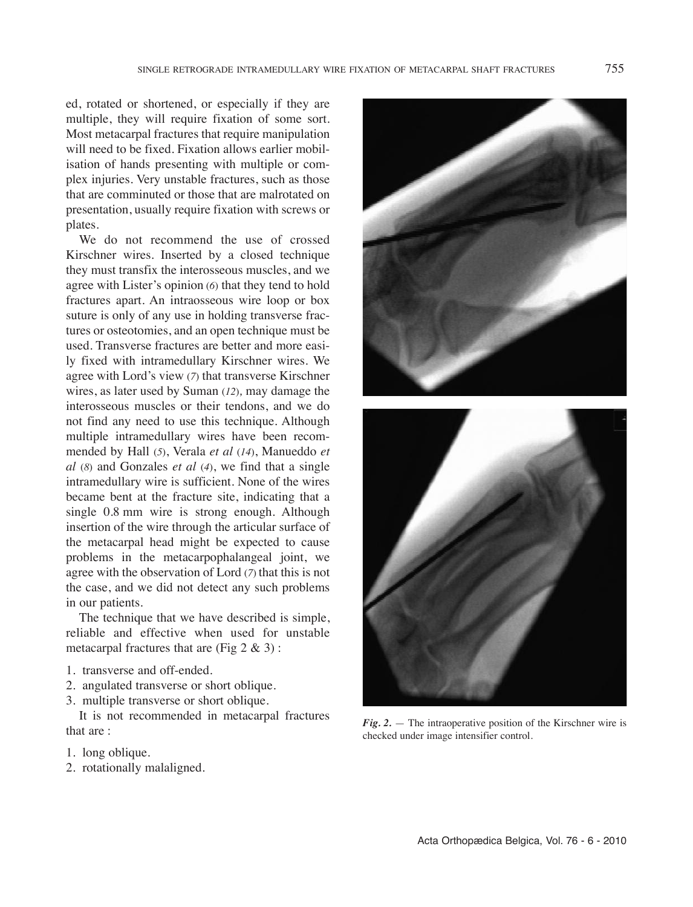ed, rotated or shortened, or especially if they are multiple, they will require fixation of some sort. Most metacarpal fractures that require manipulation will need to be fixed. Fixation allows earlier mobilisation of hands presenting with multiple or complex injuries. Very unstable fractures, such as those that are comminuted or those that are malrotated on presentation, usually require fixation with screws or plates.

We do not recommend the use of crossed Kirschner wires. Inserted by a closed technique they must transfix the interosseous muscles, and we agree with Lister's opinion (*6*) that they tend to hold fractures apart. An intraosseous wire loop or box suture is only of any use in holding transverse fractures or osteotomies, and an open technique must be used. Transverse fractures are better and more easily fixed with intramedullary Kirschner wires. We agree with Lord's view (*7*) that transverse Kirschner wires, as later used by Suman (*12*)*,* may damage the interosseous muscles or their tendons, and we do not find any need to use this technique. Although multiple intramedullary wires have been recommended by Hall (*5*), Verala *et al* (*14*), Manueddo *et al* (*8*) and Gonzales *et al* (*4*), we find that a single intramedullary wire is sufficient. None of the wires became bent at the fracture site, indicating that a single 0.8 mm wire is strong enough. Although insertion of the wire through the articular surface of the metacarpal head might be expected to cause problems in the metacarpophalangeal joint, we agree with the observation of Lord (*7*) that this is not the case, and we did not detect any such problems in our patients.

The technique that we have described is simple, reliable and effective when used for unstable metacarpal fractures that are (Fig  $2 \& 3$ ):

- 1. transverse and off-ended.
- 2. angulated transverse or short oblique.
- 3. multiple transverse or short oblique.

It is not recommended in metacarpal fractures that are :

- 1. long oblique.
- 2. rotationally malaligned.



*Fig. 2.* — The intraoperative position of the Kirschner wire is checked under image intensifier control.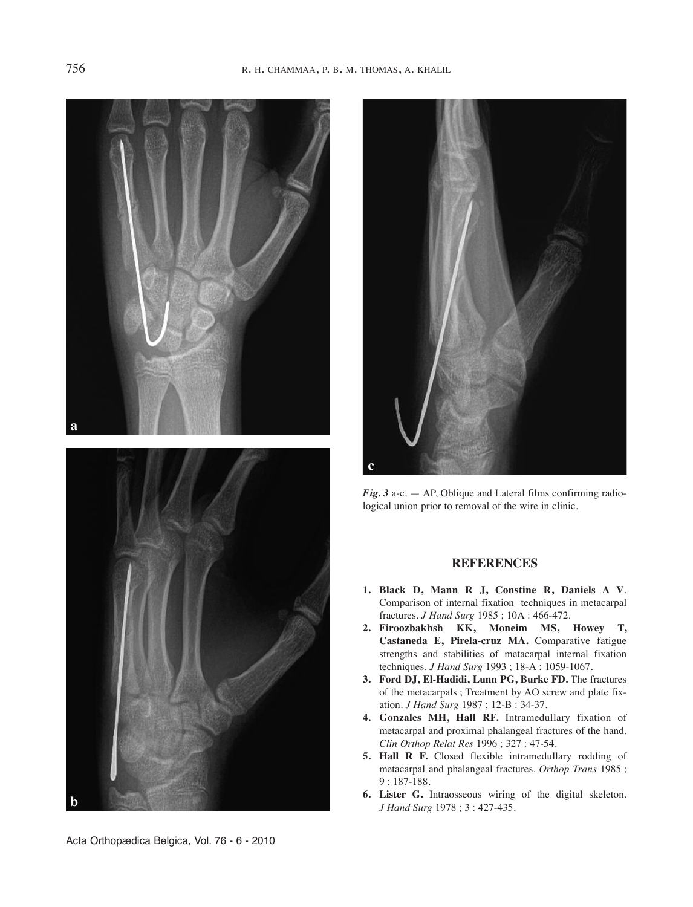



*Fig. 3* a-c. — AP, Oblique and Lateral films confirming radiological union prior to removal of the wire in clinic.

# **REFERENCES**

- **1. Black D, Mann R J, Constine R, Daniels A V**. Comparison of internal fixation techniques in metacarpal fractures. *J Hand Surg* 1985 ; 10A : 466-472.
- **2. Firoozbakhsh KK, Moneim MS, Howey T, Castaneda E, Pirela-cruz MA.** Comparative fatigue strengths and stabilities of metacarpal internal fixation techniques. *J Hand Surg* 1993 ; 18-A : 1059-1067.
- **3. Ford DJ, El-Hadidi, Lunn PG, Burke FD.** The fractures of the metacarpals ; Treatment by AO screw and plate fixation. *J Hand Surg* 1987 ; 12-B : 34-37.
- **4. Gonzales MH, Hall RF.** intramedullary fixation of metacarpal and proximal phalangeal fractures of the hand. *Clin Orthop Relat Res* 1996 ; 327 : 47-54.
- **5. Hall R F.** Closed flexible intramedullary rodding of metacarpal and phalangeal fractures. *Orthop Trans* 1985 ; 9 : 187-188.
- **6. Lister G.** intraosseous wiring of the digital skeleton. *J Hand Surg* 1978 ; 3 : 427-435.